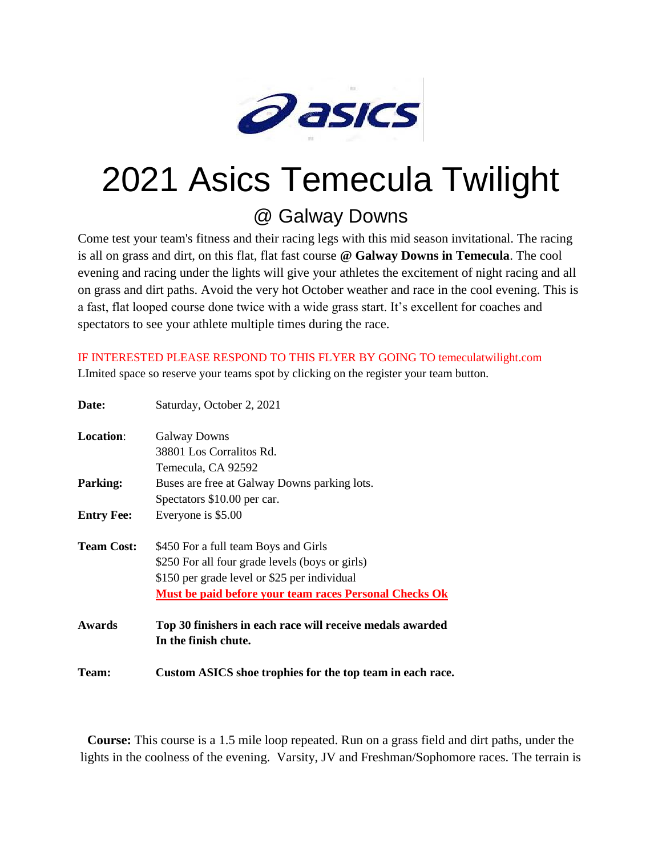

## 2021 Asics Temecula Twilight

## @ Galway Downs

Come test your team's fitness and their racing legs with this mid season invitational. The racing is all on grass and dirt, on this flat, flat fast course **@ Galway Downs in Temecula**. The cool evening and racing under the lights will give your athletes the excitement of night racing and all on grass and dirt paths. Avoid the very hot October weather and race in the cool evening. This is a fast, flat looped course done twice with a wide grass start. It's excellent for coaches and spectators to see your athlete multiple times during the race.

IF INTERESTED PLEASE RESPOND TO THIS FLYER BY GOING TO temeculatwilight.com LImited space so reserve your teams spot by clicking on the register your team button.

| Date:             | Saturday, October 2, 2021                                 |
|-------------------|-----------------------------------------------------------|
| <b>Location:</b>  | <b>Galway Downs</b>                                       |
|                   | 38801 Los Corralitos Rd.                                  |
|                   | Temecula, CA 92592                                        |
| Parking:          | Buses are free at Galway Downs parking lots.              |
|                   | Spectators \$10.00 per car.                               |
| <b>Entry Fee:</b> | Everyone is \$5.00                                        |
| <b>Team Cost:</b> | \$450 For a full team Boys and Girls                      |
|                   | \$250 For all four grade levels (boys or girls)           |
|                   | \$150 per grade level or \$25 per individual              |
|                   | Must be paid before your team races Personal Checks Ok    |
| Awards            | Top 30 finishers in each race will receive medals awarded |
|                   | In the finish chute.                                      |
| <b>Team:</b>      | Custom ASICS shoe trophies for the top team in each race. |

**Course:** This course is a 1.5 mile loop repeated. Run on a grass field and dirt paths, under the lights in the coolness of the evening. Varsity, JV and Freshman/Sophomore races. The terrain is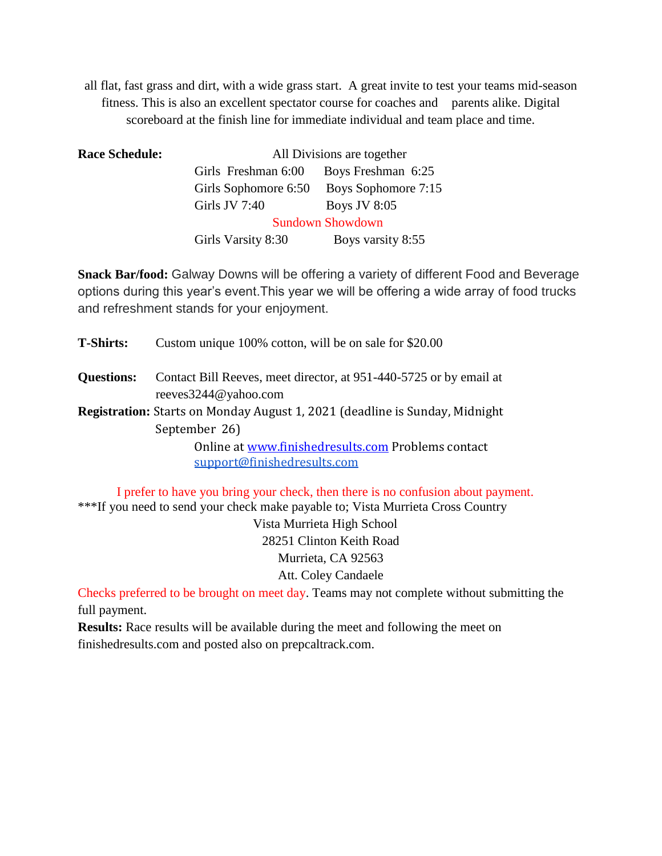all flat, fast grass and dirt, with a wide grass start. A great invite to test your teams mid-season fitness. This is also an excellent spectator course for coaches and parents alike. Digital scoreboard at the finish line for immediate individual and team place and time.

| <b>Race Schedule:</b> | All Divisions are together |                            |
|-----------------------|----------------------------|----------------------------|
|                       | Girls Freshman 6:00        | Boys Freshman 6:25         |
|                       | Girls Sophomore 6:50       | <b>Boys Sophomore 7:15</b> |
|                       | Girls JV 7:40              | <b>Boys JV 8:05</b>        |
|                       | <b>Sundown Showdown</b>    |                            |
|                       | Girls Varsity 8:30         | Boys varsity 8:55          |

**Snack Bar/food:** Galway Downs will be offering a variety of different Food and Beverage options during this year's event.This year we will be offering a wide array of food trucks and refreshment stands for your enjoyment.

**T-Shirts:** Custom unique 100% cotton, will be on sale for \$20.00 **Questions:** Contact Bill Reeves, meet director, at 951-440-5725 or by email at reeves3244@yahoo.com **Registration:** Starts on Monday August 1, 2021 (deadline is Sunday, Midnight September 26) Online at [www.finishedresults.com](http://www.finishedresults.com/) Problems contact [support@finishedresults.com](mailto:support@finishedresults.com)

I prefer to have you bring your check, then there is no confusion about payment. \*\*\*If you need to send your check make payable to; Vista Murrieta Cross Country

> Vista Murrieta High School 28251 Clinton Keith Road Murrieta, CA 92563 Att. Coley Candaele

Checks preferred to be brought on meet day. Teams may not complete without submitting the full payment.

**Results:** Race results will be available during the meet and following the meet on finishedresults.com and posted also on prepcaltrack.com.